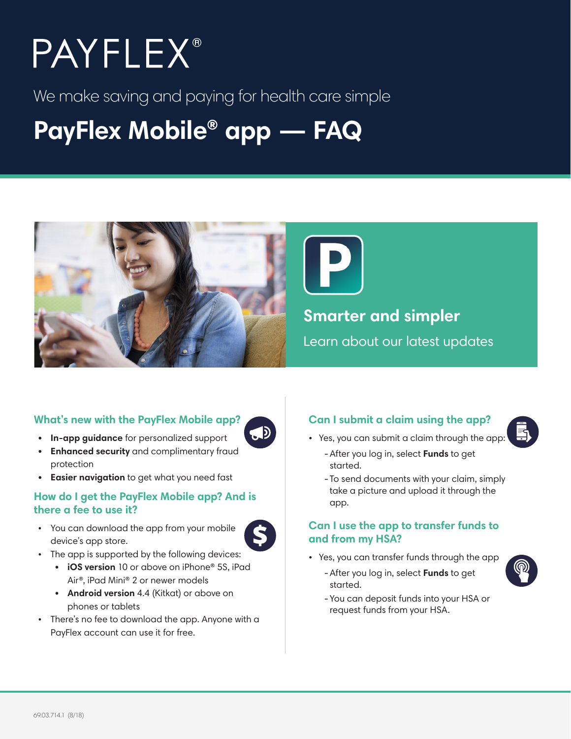# **PAYFLEX®**

We make saving and paying for health care simple

## **PayFlex Mobile® app — FAQ**



 $\bigoplus$ 

S

#### **What's new with the PayFlex Mobile app?**

- **• In-app guidance** for personalized support
- **• Enhanced security** and complimentary fraud protection
- **• Easier navigation** to get what you need fast

#### **How do I get the PayFlex Mobile app? And is there a fee to use it?**

- You can download the app from your mobile device's app store.
- The app is supported by the following devices:
	- **• iOS version** 10 or above on iPhone® 5S, iPad Air®, iPad Mini® 2 or newer models
	- **• Android version** 4.4 (Kitkat) or above on phones or tablets
- There's no fee to download the app. Anyone with a PayFlex account can use it for free.

#### **Can I submit a claim using the app?**

- Yes, you can submit a claim through the app:
	- -After you log in, select **Funds** to get started.
	- To send documents with your claim, simply take a picture and upload it through the app.

#### **Can I use the app to transfer funds to and from my HSA?**

- Yes, you can transfer funds through the app
	- -After you log in, select **Funds** to get started.



-You can deposit funds into your HSA or request funds from your HSA.